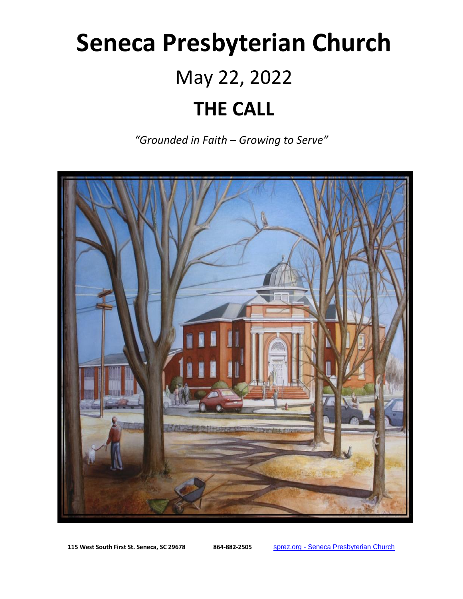# **Seneca Presbyterian Church** May 22, 2022 **THE CALL**

*"Grounded in Faith – Growing to Serve"*



**115 West South First St. Seneca, SC 29678 864-882-2505** sprez.org - [Seneca Presbyterian Church](https://sprez.org/)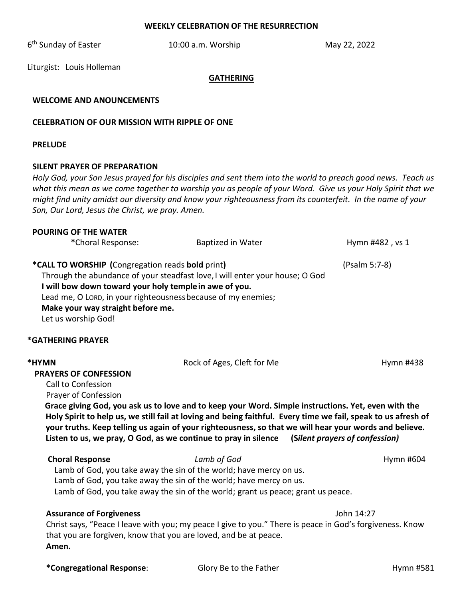#### **WEEKLY CELEBRATION OF THE RESURRECTION**

6<sup>th</sup> Sunday of Easter **10:00 a.m. Worship** May 22, 2022

Liturgist: Louis Holleman

#### **GATHERING**

### **WELCOME AND ANOUNCEMENTS**

#### **CELEBRATION OF OUR MISSION WITH RIPPLE OF ONE**

#### **PRELUDE**

#### **SILENT PRAYER OF PREPARATION**

*Holy God, your Son Jesus prayed for his disciples and sent them into the world to preach good news. Teach us what this mean as we come together to worship you as people of your Word. Give us your Holy Spirit that we might find unity amidst our diversity and know your righteousness from its counterfeit. In the name of your Son, Our Lord, Jesus the Christ, we pray. Amen.*

# **POURING OF THE WATER** \*Choral Response: Baptized in Water **Hymn #482**, vs 1 **\*CALL TO WORSHIP (**Congregation reads **bold** print**)** (Psalm 5:7-8) Through the abundance of your steadfast love,I will enter your house; O God **I will bow down toward your holy templein awe of you.** Lead me, O LORD, in your righteousnessbecause of my enemies; **Make your way straight before me.** Let us worship God!

#### **\*GATHERING PRAYER**

| *HYMN<br><b>PRAYERS OF CONFESSION</b><br>Call to Confession<br>Prayer of Confession | Rock of Ages, Cleft for Me<br>Grace giving God, you ask us to love and to keep your Word. Simple instructions. Yet, even with the<br>Holy Spirit to help us, we still fail at loving and being faithful. Every time we fail, speak to us afresh of<br>your truths. Keep telling us again of your righteousness, so that we will hear your words and believe.<br>Listen to us, we pray, O God, as we continue to pray in silence (Silent prayers of confession) | Hymn #438  |
|-------------------------------------------------------------------------------------|----------------------------------------------------------------------------------------------------------------------------------------------------------------------------------------------------------------------------------------------------------------------------------------------------------------------------------------------------------------------------------------------------------------------------------------------------------------|------------|
| <b>Choral Response</b>                                                              | Lamb of God<br>Lamb of God, you take away the sin of the world; have mercy on us.<br>Lamb of God, you take away the sin of the world; have mercy on us.<br>Lamb of God, you take away the sin of the world; grant us peace; grant us peace.                                                                                                                                                                                                                    | Hymn #604  |
| <b>Assurance of Forgiveness</b><br>Amen.                                            | Christ says, "Peace I leave with you; my peace I give to you." There is peace in God's forgiveness. Know<br>that you are forgiven, know that you are loved, and be at peace.                                                                                                                                                                                                                                                                                   | John 14:27 |
| *Congregational Response:                                                           | Glory Be to the Father                                                                                                                                                                                                                                                                                                                                                                                                                                         | Hymn #581  |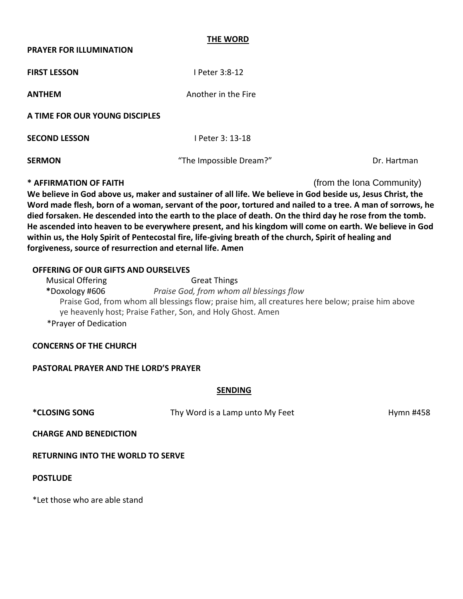#### **THE WORD**

#### **PRAYER FOR ILLUMINATION**

**FIRST LESSON** I Peter 3:8-12

**ANTHEM** Another in the Fire

**A TIME FOR OUR YOUNG DISCIPLES**

**SECOND LESSON** I Peter 3: 13-18

**SERMON CONSUMING THE IMPOSSIBLE DREAMS** The Impossible Dream?" **The Impossible Dream?"** Dr. Hartman

**\* AFFIRMATION OF FAITH** (from the Iona Community)

**We believe in God above us, maker and sustainer of all life. We believe in God beside us, Jesus Christ, the Word made flesh, born of a woman, servant of the poor, tortured and nailed to a tree. A man of sorrows, he died forsaken. He descended into the earth to the place of death. On the third day he rose from the tomb. He ascended into heaven to be everywhere present, and his kingdom will come on earth. We believe in God within us, the Holy Spirit of Pentecostal fire, life-giving breath of the church, Spirit of healing and forgiveness, source of resurrection and eternal life. Amen**

# **OFFERING OF OUR GIFTS AND OURSELVES**

| <b>Musical Offering</b> | <b>Great Things</b>                                                                              |
|-------------------------|--------------------------------------------------------------------------------------------------|
| *Doxology #606          | Praise God, from whom all blessings flow                                                         |
|                         | Praise God, from whom all blessings flow; praise him, all creatures here below; praise him above |
|                         | ye heavenly host; Praise Father, Son, and Holy Ghost. Amen                                       |
| *Prayer of Dedication   |                                                                                                  |

# **CONCERNS OF THE CHURCH**

# **PASTORAL PRAYER AND THE LORD'S PRAYER**

# **SENDING**

\***CLOSING SONG** Thy Word is a Lamp unto My Feet **The Hymn #458** 

**CHARGE AND BENEDICTION** 

**RETURNING INTO THE WORLD TO SERVE**

**POSTLUDE**

\*Let those who are able stand